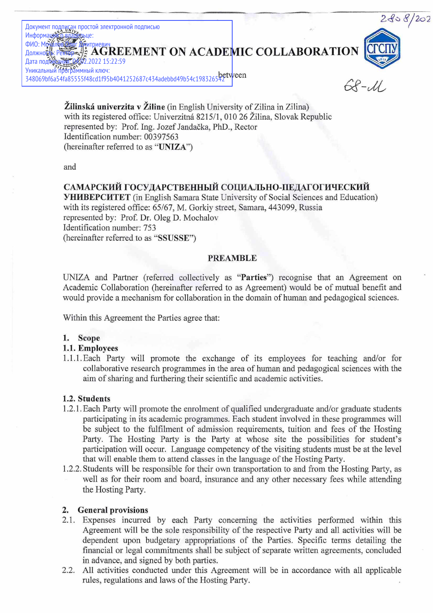

Zilinska univerzita v Ziline (in English University of Zilina in Zilina) with its registered office: Univerzitná 8215/1, 010 26 Žilina, Slovak Republic represented by: Prof. Ing. Jozef Jandačka, PhD., Rector Identification number: 00397563 (hereinafter referred to as "UNIZA")

and

# САМАРСКИЙ ГОСУДАРСТВЕННЫЙ СОЦИАЛЬНО-ПЕДАГОГИЧЕСКИЙ

YHUBEPCHTET (in English Samara State University of Social Sciences and Education) with its registered office: 65/67, M. Gorkiy street, Samara, 443099, Russia represented by: Prof. Dr. Oleg D. Mochalov Identification number: 753 (hereinafter referred to as "SSUSSE")

#### PREAMBLE

UNIZA and Partner (referred collectively as "Parties") recognise that an Agreement on Academic Collaboration (hereinafter referred to as Agreement) would be of mutual benefit and would provide a mechanism for collaboration in the domain of human and pedagogical sciences.

Within this Agreement the Parties agree that:

#### 1. Scope

# 1.1. Employees

1.1.1.Each Party will promote the exchange of its employees for teaching and/or for collaborative research programmes in the area of human and pedagogical sciences with the aim of sharing and furthering their scientific and academic activities.

### 1.2. Students

- 1.2.1. Each Party will promote the enrolment of qualified undergraduate and/or graduate students participating in its academic programmes. Each student involved in these programmes will be subject to the fulfilment of admission requirements, tuition and fees of the Hosting Party. The Hosting Party is the Party at whose site the possibilities for student's participation will occur. Language competency of the visiting students must be at the level that will enable them to attend classes in the language of the Hosting Party.
- 1.2.2. Students will be responsible for their own transportation to and from the Hosting Party, as well as for their room and board, insurance and any other necessary fees while attending the Hosting Party.

### 2. General provisions

- 2.1. Expenses incurred by each Party concerning the activities performed within this Agreement will be the sole responsibility of the respective Party and all activities will be dependent upon budgetary appropriations of the Parties. Specific terms detailing the financial or legal commitments shall be subject of separate written agreements, concluded in advance, and signed by both parties.
- $2.2$ 2.2. All activities conducted under this Agreement will be in accordance with all applicable rules, regulations and laws of the Hosting Party.